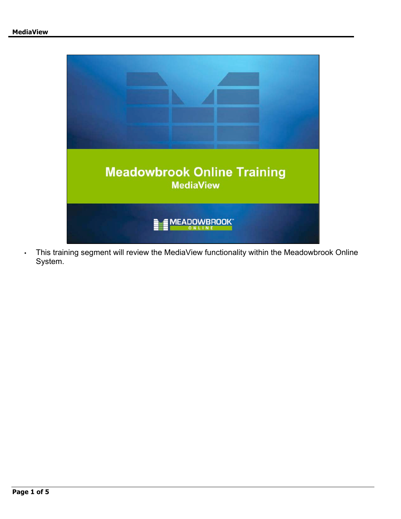

• This training segment will review the MediaView functionality within the Meadowbrook Online System.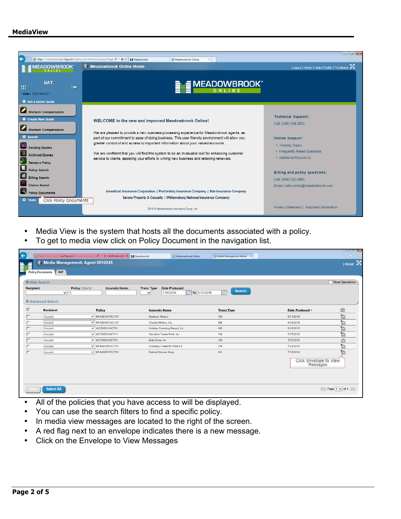

- Media View is the system that hosts all the documents associated with a policy.
- To get to media view click on Policy Document in the navigation list.

| Recipient: | O Hide Search<br>$\checkmark$         | Policy: (Start) | Insureds Name:                    | Trans Type:<br>$\checkmark$ | Date Produced:<br>To 8/15/2016<br>7/16/2016 | <b>Search</b><br>Ŵ |                                                 | Show Operations         |
|------------|---------------------------------------|-----------------|-----------------------------------|-----------------------------|---------------------------------------------|--------------------|-------------------------------------------------|-------------------------|
| 巨          | <b>O</b> Advanced Search<br>Recipient |                 | Policy                            | <b>Insureds Name</b>        |                                             | <b>Trans Type</b>  | Date Produced v                                 | ₿                       |
|            | Insured                               |                 | V NFA0834179CT41                  | Madison Motors              |                                             | CN                 | 8/11/2016                                       | $\square$               |
|            | Insured                               |                 | V NFA0846733CT41                  | Charity Motors, Inc.        |                                             | <b>NB</b>          | 8/10/2016                                       | ħ                       |
|            | Insured                               |                 | $\overline{\smile}$ WC0600124CT01 |                             | Holiday Camping Resort, Llc.                | <b>NB</b>          | 8/10/2016                                       | $\overline{\mathbb{D}}$ |
|            | Insurad                               |                 | $\vee$ WC5000349CT11              |                             | Vacation Trailer Park, Inc.                 | CN                 | 7/27/2016                                       | to.                     |
|            | Insured                               |                 | ▼ WC5000348CT01                   | Kids Zone, Inc.             |                                             | CN                 | 7/25/2016                                       | $\Omega$                |
| п          | Insured                               |                 | $\vee$ NFA0838915CT41             |                             | Crockery Creek Ry Park Lic                  | CN                 | 7/22/2016                                       | 'n                      |
| г          | Insured                               |                 | $\vee$ NFA6000175CT41             | Detroit Shinola Shop        |                                             | N3                 | 7/19/2016<br>Click Envelope to View<br>Messages | $\overline{a}$          |

- All of the policies that you have access to will be displayed.
- You can use the search filters to find a specific policy.
- In media view messages are located to the right of the screen.
- A red flag next to an envelope indicates there is a new message.
- Click on the Envelope to View Messages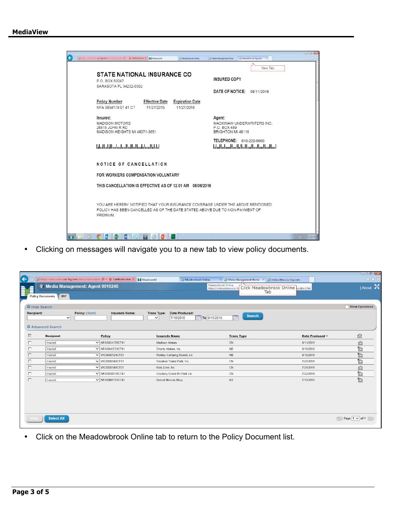

• Clicking on messages will navigate you to a new tab to view policy documents.

|                                                 |                                          |                                                                                                  |                                                                  |                                                                                  |                                     | $\Box$ $\sigma$ $\mathbf{x}$   |
|-------------------------------------------------|------------------------------------------|--------------------------------------------------------------------------------------------------|------------------------------------------------------------------|----------------------------------------------------------------------------------|-------------------------------------|--------------------------------|
| $\left( \begin{matrix}{1} \end{matrix} \right)$ |                                          | https://mdwuc0mv.csc-fsg.com/mmc1mdwscriptm $\mathcal{Q}$ v © Certificate error C     Meadoworld | Meadowbrook Online.                                              | $\times$ $\otimes$ Media Management Home $\times$ $\otimes$ mdwuc0mv.csc-fsg.com |                                     | 命女德                            |
|                                                 | WIP<br><b>Policy Documents</b>           | Media Management: Agent 0010245                                                                  |                                                                  | Meadowbrook Online.<br>https://mdwuatalwa.csc-fs<br>Tab                          | Click Meadowbrook Online width=1344 | About 24                       |
|                                                 | Hide Search                              |                                                                                                  |                                                                  |                                                                                  |                                     | Show Operations                |
| <b>Recipient:</b>                               | $\checkmark$<br><b>O</b> Advanced Search | Policy: (Start)<br>Insureds Name:                                                                | Date Produced:<br><b>Trans Type:</b><br>7/16/2016<br>$\check{ }$ | <b>Search</b><br><b>Fill</b><br>To 8/15/2016                                     |                                     |                                |
| г                                               | <b>Recipient</b>                         | Policy                                                                                           | <b>Insureds Name</b>                                             | <b>Trans Type</b>                                                                | Date Produced                       | Q                              |
| п                                               | Insured                                  | V NFA0834179CT41                                                                                 | <b>Madison Motors</b>                                            | CN                                                                               | 8/11/2016                           | ◎                              |
| г                                               | Insured                                  | V NFA0846733CT41                                                                                 | Charity Motors, Inc.                                             | <b>NB</b>                                                                        | 8/10/2016                           | $\mathbb{Z}$                   |
| П                                               | Insured                                  | $\vee$ WC0600124CT01                                                                             | Holiday Camping Resort, Llc                                      | <b>NB</b>                                                                        | 8/10/2016                           | $\triangleright$               |
| п                                               | Insured                                  | V WC5000349CT11                                                                                  | Vacation Trailer Park, Inc.                                      | CN                                                                               | 7/27/2016                           | <b>b</b>                       |
| п                                               | Insured                                  | $\vee$ WC5000348CT01                                                                             | Kids Zone, Inc.                                                  | CN                                                                               | 7/25/2016                           | $\circledR$                    |
| п                                               | Insured                                  | V NFA0838915CT41                                                                                 | Crockery Creek Rv Park Llc                                       | CN                                                                               | 7/22/2016                           | Þ                              |
| г                                               | Insured                                  | V NFA6000175CT41                                                                                 | Detroit Shinola Shop                                             | N <sub>3</sub>                                                                   | 7/19/2016                           | b                              |
|                                                 | <b>Select All</b>                        |                                                                                                  |                                                                  |                                                                                  |                                     | $\ll$ Page 1 $\vee$ of 1 $\gg$ |

• Click on the Meadowbrook Online tab to return to the Policy Document list.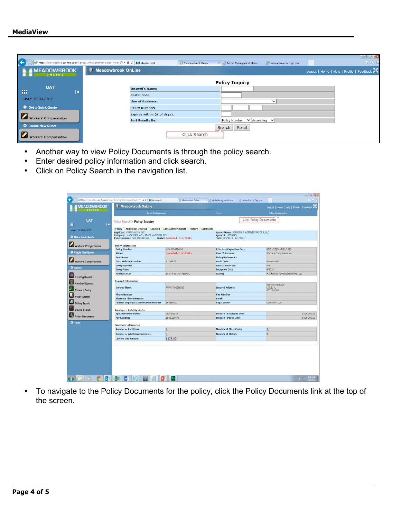| $\left( \begin{matrix} \mathbf{c} \end{matrix} \right)$ | https://mdwuatalwa.csc-fsg.com/AgencyLink/Menuframe.aspx?Heigh Q + A C<br>Meadoworld<br>Meadowbrook Online. | mdwuc0mv.csc-fsg.com<br>Media Management Home<br>$\times$ | $  -$<br>命女德 |
|---------------------------------------------------------|-------------------------------------------------------------------------------------------------------------|-----------------------------------------------------------|--------------|
| <b>EMEADOWBROOK</b>                                     | <b>Meadowbrook OnLine</b>                                                                                   | Logout   Home   Help   Profile   Feedback                 |              |
|                                                         |                                                                                                             | <b>Policy Inquiry</b>                                     |              |
| <b>UAT</b>                                              | <b>Insured's Name:</b>                                                                                      |                                                           |              |
| 一用<br>∣←                                                | <b>Postal Code:</b>                                                                                         |                                                           |              |
| <b>User: TESTAGTCT</b>                                  | <b>Line of Business:</b>                                                                                    | $\checkmark$                                              |              |
| Get a Quick Quote                                       | <b>Policy Number:</b>                                                                                       |                                                           |              |
| $\boldsymbol{\nabla}$                                   | Expires within (# of days):                                                                                 |                                                           |              |
| <b>Workers' Compensation</b>                            | <b>Sort Results By:</b>                                                                                     | Policy Number V Ascending V                               |              |
| <b>O</b> Create New Quote                               |                                                                                                             | Search<br>Reset                                           |              |
| $ \mathbf{v} $<br><b>Workers' Compensation</b>          | Click Search                                                                                                |                                                           |              |

- Another way to view Policy Documents is through the policy search.
- Enter desired policy information and click search.
- Click on Policy Search in the navigation list.

|                         | <b>Meadowbrook OnLine</b>                                                                                                                    |                               |                                                               | Logout   Home   Help   Profile   Feedback |
|-------------------------|----------------------------------------------------------------------------------------------------------------------------------------------|-------------------------------|---------------------------------------------------------------|-------------------------------------------|
|                         | <b>Email Endorsement</b>                                                                                                                     |                               | Renew                                                         | <b>Policy Documents</b>                   |
| UAT<br>冊<br>I÷          | Policy Search > Policy Inquiry                                                                                                               |                               |                                                               | Click Policy Documents                    |
| User: TESTAGTCT         | Policy Additional Interest Location Loss Activity Report History<br>Applicant: AVANI AMISH INC.<br>Company: MACKINAW WC - STATE NATIONAL INS | <b>Comments</b>               | Agency Name: MACKINAW ADMINISTRATORS, LLC<br>Agency#: 0010245 |                                           |
| C Get a Quick Quote     | Policy Number: NFA 0604826 00                                                                                                                | Status: Cancelled - 11/7/2015 | Term: 8/1/2015 - 8/1/2016                                     |                                           |
| Workers' Compensation   | <b>Policy Information</b>                                                                                                                    |                               |                                                               |                                           |
|                         | <b>Policy Number</b>                                                                                                                         | NFA 0604826 00                | <b>Effective/Expiration Date</b>                              | 08/01/2015-08/01/2016                     |
| Create New Quote        | <b>Status</b>                                                                                                                                | Cancelled - 11/2/2015         | Line of Business                                              | Workers Comp Voluntary                    |
|                         | <b>User Name</b>                                                                                                                             |                               | <b>Doing Business As</b>                                      |                                           |
| Workers' Compensation   | <b>Total Written Premium</b>                                                                                                                 | \$1,769.00                    | <b>Audit Code</b>                                             | Annual audit                              |
|                         | <b>Group Number</b>                                                                                                                          |                               | <b>Reason Endorsed</b>                                        | PhiP                                      |
| O Search                | <b>Group Code</b>                                                                                                                            |                               | <b>Inception Date</b>                                         | 8/2015                                    |
|                         | <b>Payment Plan</b>                                                                                                                          | 15% + 11 INST-\$10 SC         | Agency                                                        | MACKINAW ADMINISTRATORS, LLC              |
| <b>Existing Quotes</b>  | <b>Insured Information</b>                                                                                                                   |                               |                                                               |                                           |
| <b>Archived Quotes</b>  |                                                                                                                                              |                               |                                                               | 2115 OGDEN AVE                            |
| Renew a Policy          | <b>Insured Name</b>                                                                                                                          | AVANI AMISH INC.              | <b>Insured Address</b>                                        | LISLE, IL<br>60532-1508                   |
|                         | <b>Phone Number</b>                                                                                                                          |                               | <b>Fax Number</b>                                             |                                           |
| Policy Search           | <b>Alternate Phone Number</b>                                                                                                                |                               | Email                                                         |                                           |
| <b>Billing Search</b>   | <b>Federal Employee Identification Number</b>                                                                                                | 363686593                     | <b>Legal Entity</b>                                           | CORPORATION                               |
| <b>Claims Search</b>    | <b>Employer's Liability Limits</b>                                                                                                           |                               |                                                               |                                           |
|                         | <b>Split Rate Date Period</b>                                                                                                                | 08/01/2015                    | Disease - Employee Limit                                      | \$500,000.00                              |
| <b>Policy Documents</b> | <b>Per Accident</b>                                                                                                                          | \$500,000.00                  | <b>Disease - Policy Limit</b>                                 | \$500,000.00                              |
| O Tools                 | <b>Summary Information</b>                                                                                                                   |                               |                                                               |                                           |
|                         | <b>Number of Locations</b>                                                                                                                   | 1                             | <b>Number of Class Codes</b>                                  | 11                                        |
|                         | <b>Number of Additional Interests</b>                                                                                                        | $\bar{a}$                     | <b>Number of Claims:</b>                                      | $ 0\rangle$                               |
|                         | <b>Current Due Amount:</b>                                                                                                                   | \$178.00                      |                                                               |                                           |
|                         |                                                                                                                                              |                               |                                                               |                                           |

• To navigate to the Policy Documents for the policy, click the Policy Documents link at the top of the screen.